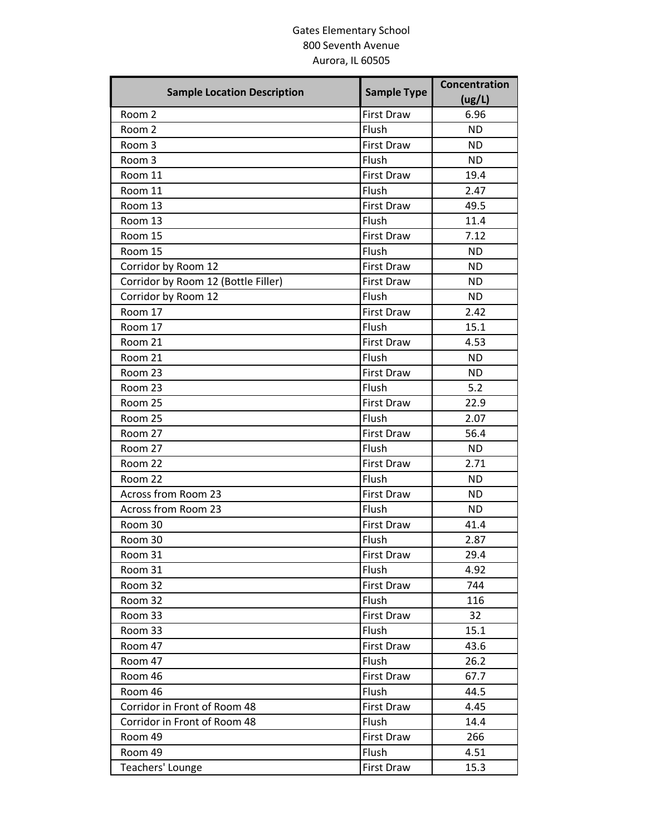## Gates Elementary School 800 Seventh Avenue Aurora, IL 60505

| <b>Sample Location Description</b>  | <b>Sample Type</b> | Concentration<br>(ug/L) |
|-------------------------------------|--------------------|-------------------------|
| Room 2                              | <b>First Draw</b>  | 6.96                    |
| Room 2                              | Flush              | <b>ND</b>               |
| Room 3                              | <b>First Draw</b>  | <b>ND</b>               |
| Room 3                              | Flush              | <b>ND</b>               |
| Room 11                             | <b>First Draw</b>  | 19.4                    |
| Room 11                             | Flush              | 2.47                    |
| Room 13                             | <b>First Draw</b>  | 49.5                    |
| Room 13                             | Flush              | 11.4                    |
| Room 15                             | <b>First Draw</b>  | 7.12                    |
| Room 15                             | Flush              | <b>ND</b>               |
| Corridor by Room 12                 | <b>First Draw</b>  | <b>ND</b>               |
| Corridor by Room 12 (Bottle Filler) | <b>First Draw</b>  | <b>ND</b>               |
| Corridor by Room 12                 | Flush              | <b>ND</b>               |
| Room 17                             | <b>First Draw</b>  | 2.42                    |
| Room 17                             | Flush              | 15.1                    |
| Room 21                             | <b>First Draw</b>  | 4.53                    |
| Room 21                             | Flush              | <b>ND</b>               |
| Room 23                             | <b>First Draw</b>  | <b>ND</b>               |
| Room 23                             | Flush              | 5.2                     |
| Room 25                             | <b>First Draw</b>  | 22.9                    |
| Room 25                             | Flush              | 2.07                    |
| Room 27                             | <b>First Draw</b>  | 56.4                    |
| Room 27                             | Flush              | <b>ND</b>               |
| Room 22                             | <b>First Draw</b>  | 2.71                    |
| Room 22                             | Flush              | <b>ND</b>               |
| Across from Room 23                 | <b>First Draw</b>  | <b>ND</b>               |
| Across from Room 23                 | Flush              | <b>ND</b>               |
| Room 30                             | <b>First Draw</b>  | 41.4                    |
| Room 30                             | Flush              | 2.87                    |
| Room 31                             | <b>First Draw</b>  | 29.4                    |
| Room 31                             | Flush              | 4.92                    |
| Room 32                             | <b>First Draw</b>  | 744                     |
| Room 32                             | Flush              | 116                     |
| Room 33                             | <b>First Draw</b>  | 32                      |
| Room 33                             | Flush              | 15.1                    |
| Room 47                             | <b>First Draw</b>  | 43.6                    |
| Room 47                             | Flush              | 26.2                    |
| Room 46                             | <b>First Draw</b>  | 67.7                    |
| Room 46                             | Flush              | 44.5                    |
| Corridor in Front of Room 48        | <b>First Draw</b>  | 4.45                    |
| Corridor in Front of Room 48        | Flush              | 14.4                    |
| Room 49                             | <b>First Draw</b>  | 266                     |
| Room 49                             | Flush              | 4.51                    |
| Teachers' Lounge                    | <b>First Draw</b>  | 15.3                    |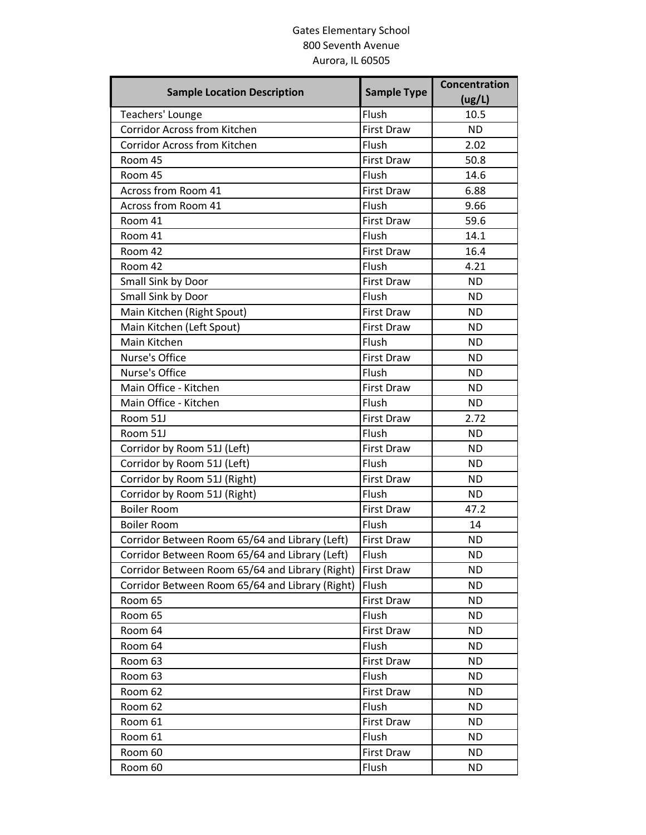## Gates Elementary School 800 Seventh Avenue Aurora, IL 60505

| <b>Sample Location Description</b>              | <b>Sample Type</b> | Concentration<br>(ug/L) |
|-------------------------------------------------|--------------------|-------------------------|
| Teachers' Lounge                                | Flush              | 10.5                    |
| Corridor Across from Kitchen                    | <b>First Draw</b>  | <b>ND</b>               |
| <b>Corridor Across from Kitchen</b>             | Flush              | 2.02                    |
| Room 45                                         | <b>First Draw</b>  | 50.8                    |
| Room 45                                         | Flush              | 14.6                    |
| Across from Room 41                             | <b>First Draw</b>  | 6.88                    |
| Across from Room 41                             | Flush              | 9.66                    |
| Room 41                                         | <b>First Draw</b>  | 59.6                    |
| Room 41                                         | Flush              | 14.1                    |
| Room 42                                         | <b>First Draw</b>  | 16.4                    |
| Room 42                                         | Flush              | 4.21                    |
| Small Sink by Door                              | First Draw         | <b>ND</b>               |
| Small Sink by Door                              | Flush              | <b>ND</b>               |
| Main Kitchen (Right Spout)                      | <b>First Draw</b>  | <b>ND</b>               |
| Main Kitchen (Left Spout)                       | <b>First Draw</b>  | <b>ND</b>               |
| Main Kitchen                                    | Flush              | <b>ND</b>               |
| Nurse's Office                                  | First Draw         | <b>ND</b>               |
| Nurse's Office                                  | Flush              | <b>ND</b>               |
| Main Office - Kitchen                           | <b>First Draw</b>  | <b>ND</b>               |
| Main Office - Kitchen                           | Flush              | <b>ND</b>               |
| Room 51J                                        | <b>First Draw</b>  | 2.72                    |
| Room 51J                                        | Flush              | <b>ND</b>               |
| Corridor by Room 51J (Left)                     | <b>First Draw</b>  | <b>ND</b>               |
| Corridor by Room 51J (Left)                     | Flush              | <b>ND</b>               |
| Corridor by Room 51J (Right)                    | <b>First Draw</b>  | <b>ND</b>               |
| Corridor by Room 51J (Right)                    | Flush              | <b>ND</b>               |
| <b>Boiler Room</b>                              | First Draw         | 47.2                    |
| <b>Boiler Room</b>                              | Flush              | 14                      |
| Corridor Between Room 65/64 and Library (Left)  | <b>First Draw</b>  | <b>ND</b>               |
| Corridor Between Room 65/64 and Library (Left)  | Flush              | <b>ND</b>               |
| Corridor Between Room 65/64 and Library (Right) | <b>First Draw</b>  | <b>ND</b>               |
| Corridor Between Room 65/64 and Library (Right) | Flush              | <b>ND</b>               |
| Room 65                                         | First Draw         | <b>ND</b>               |
| Room 65                                         | Flush              | <b>ND</b>               |
| Room 64                                         | <b>First Draw</b>  | <b>ND</b>               |
| Room 64                                         | Flush              | <b>ND</b>               |
| Room 63                                         | <b>First Draw</b>  | <b>ND</b>               |
| Room 63                                         | Flush              | <b>ND</b>               |
| Room 62                                         | First Draw         | <b>ND</b>               |
| Room 62                                         | Flush              | <b>ND</b>               |
| Room 61                                         | <b>First Draw</b>  | <b>ND</b>               |
| Room 61                                         | Flush              | <b>ND</b>               |
| Room 60                                         | <b>First Draw</b>  | <b>ND</b>               |
| Room 60                                         | Flush              | ND.                     |